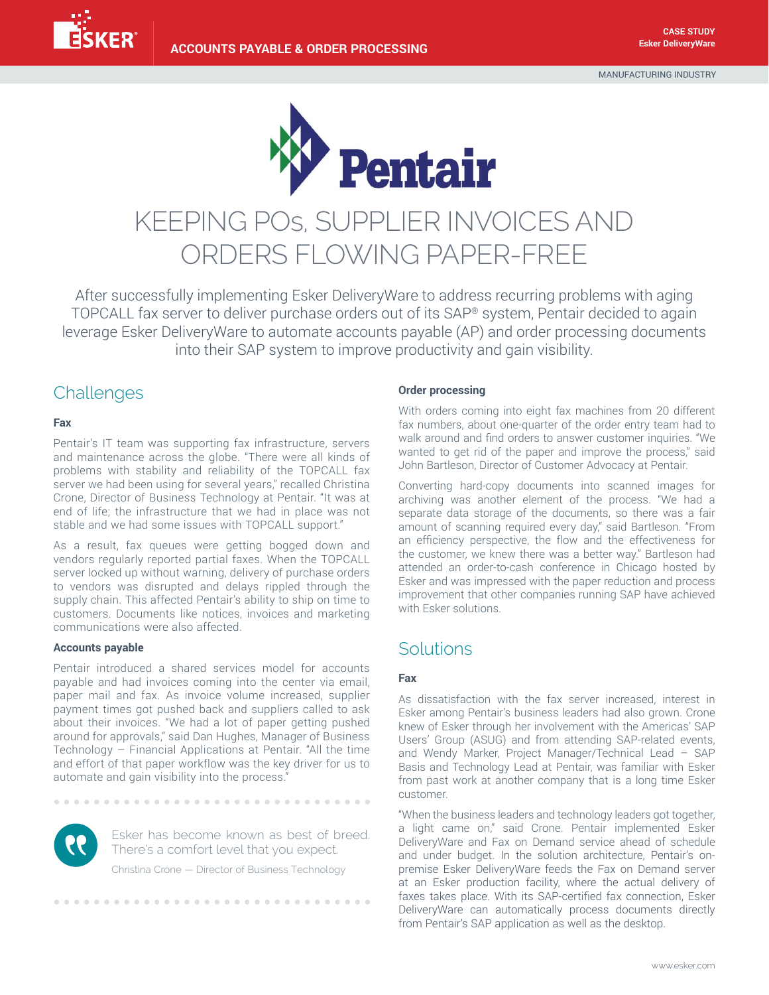

# KEEPING POs, SUPPLIER INVOICES AND ORDERS FLOWING PAPER-FREE

After successfully implementing Esker DeliveryWare to address recurring problems with aging TOPCALL fax server to deliver purchase orders out of its SAP® system, Pentair decided to again leverage Esker DeliveryWare to automate accounts payable (AP) and order processing documents into their SAP system to improve productivity and gain visibility.

## **Challenges**

#### **Fax**

Pentair's IT team was supporting fax infrastructure, servers and maintenance across the globe. "There were all kinds of problems with stability and reliability of the TOPCALL fax server we had been using for several years," recalled Christina Crone, Director of Business Technology at Pentair. "It was at end of life; the infrastructure that we had in place was not stable and we had some issues with TOPCALL support."

As a result, fax queues were getting bogged down and vendors regularly reported partial faxes. When the TOPCALL server locked up without warning, delivery of purchase orders to vendors was disrupted and delays rippled through the supply chain. This affected Pentair's ability to ship on time to customers. Documents like notices, invoices and marketing communications were also affected.

#### **Accounts payable**

Pentair introduced a shared services model for accounts payable and had invoices coming into the center via email, paper mail and fax. As invoice volume increased, supplier payment times got pushed back and suppliers called to ask about their invoices. "We had a lot of paper getting pushed around for approvals," said Dan Hughes, Manager of Business Technology – Financial Applications at Pentair. "All the time and effort of that paper workflow was the key driver for us to automate and gain visibility into the process."



Esker has become known as best of breed. There's a comfort level that you expect.

Christina Crone — Director of Business Technology

#### **Order processing**

With orders coming into eight fax machines from 20 different fax numbers, about one-quarter of the order entry team had to walk around and find orders to answer customer inquiries. "We wanted to get rid of the paper and improve the process," said John Bartleson, Director of Customer Advocacy at Pentair.

Converting hard-copy documents into scanned images for archiving was another element of the process. "We had a separate data storage of the documents, so there was a fair amount of scanning required every day," said Bartleson. "From an efficiency perspective, the flow and the effectiveness for the customer, we knew there was a better way." Bartleson had attended an order-to-cash conference in Chicago hosted by Esker and was impressed with the paper reduction and process improvement that other companies running SAP have achieved with Esker solutions.

## Solutions

#### **Fax**

As dissatisfaction with the fax server increased, interest in Esker among Pentair's business leaders had also grown. Crone knew of Esker through her involvement with the Americas' SAP Users' Group (ASUG) and from attending SAP-related events, and Wendy Marker, Project Manager/Technical Lead – SAP Basis and Technology Lead at Pentair, was familiar with Esker from past work at another company that is a long time Esker customer.

"When the business leaders and technology leaders got together, a light came on," said Crone. Pentair implemented Esker DeliveryWare and Fax on Demand service ahead of schedule and under budget. In the solution architecture, Pentair's onpremise Esker DeliveryWare feeds the Fax on Demand server at an Esker production facility, where the actual delivery of faxes takes place. With its SAP-certified fax connection, Esker DeliveryWare can automatically process documents directly from Pentair's SAP application as well as the desktop.